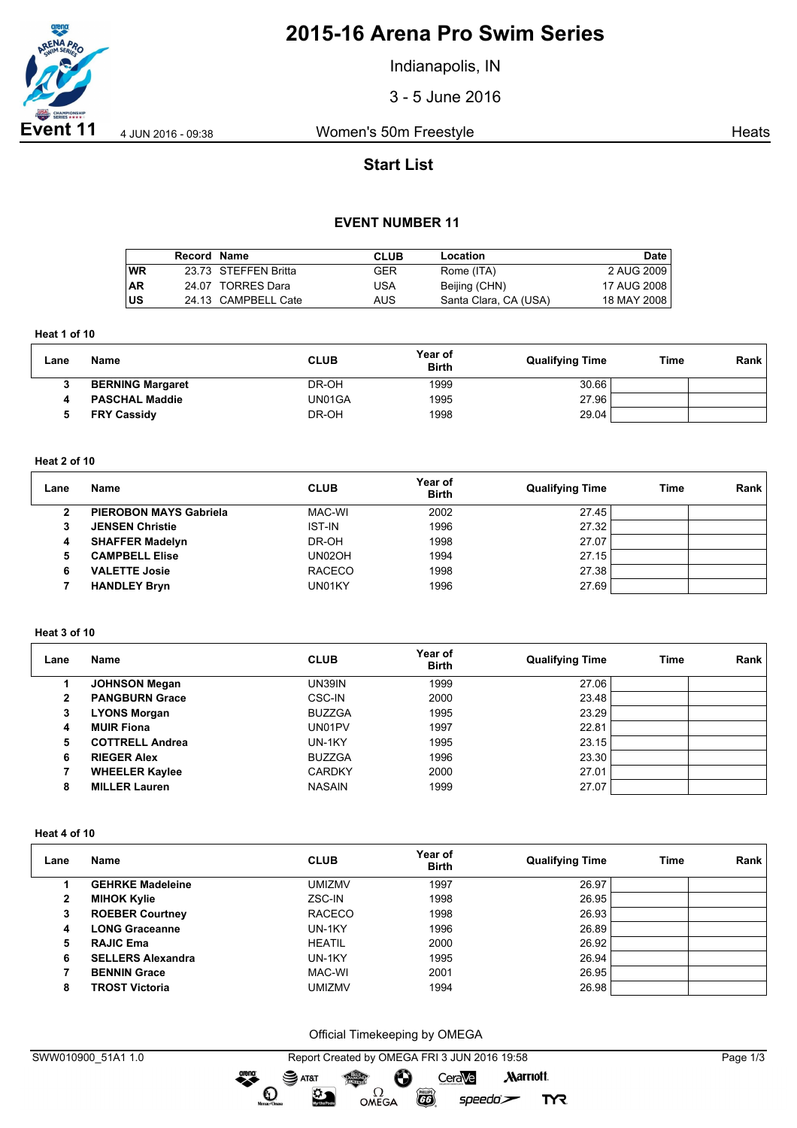

# **2015-16 Arena Pro Swim Series**

Indianapolis, IN

3 - 5 June 2016

**Event 11** 4 JUN 2016 - 09:38 Women's 50m Freestyle **Heats** Heats

# **Start List**

# **EVENT NUMBER 11**

|           | Record Name |                      | <b>CLUB</b> | Location              | <b>Date</b>   |
|-----------|-------------|----------------------|-------------|-----------------------|---------------|
| <b>WR</b> |             | 23.73 STEFFEN Britta | GER         | Rome (ITA)            | 2 AUG 2009    |
| <b>AR</b> |             | 24.07 TORRES Dara    | USA         | Beijing (CHN)         | 17 AUG 2008 I |
| lus       |             | 24.13 CAMPBELL Cate  | AUS.        | Santa Clara, CA (USA) | 18 MAY 2008   |

**Heat 1 of 10**

| Lane | Name                    | <b>CLUB</b> | Year of<br><b>Birth</b> | <b>Qualifying Time</b> | Time | Rank |
|------|-------------------------|-------------|-------------------------|------------------------|------|------|
|      | <b>BERNING Margaret</b> | DR-OH       | 1999                    | 30.66                  |      |      |
| 4    | <b>PASCHAL Maddie</b>   | UN01GA      | 1995                    | 27.96                  |      |      |
|      | <b>FRY Cassidy</b>      | DR-OH       | 1998                    | 29.04                  |      |      |

#### **Heat 2 of 10**

| Lane | Name                          | <b>CLUB</b>   | Year of<br><b>Birth</b> | <b>Qualifying Time</b> | Time | Rank |
|------|-------------------------------|---------------|-------------------------|------------------------|------|------|
| 2    | <b>PIEROBON MAYS Gabriela</b> | MAC-WI        | 2002                    | 27.45                  |      |      |
| 3    | <b>JENSEN Christie</b>        | <b>IST-IN</b> | 1996                    | 27.32                  |      |      |
| 4    | <b>SHAFFER Madelyn</b>        | DR-OH         | 1998                    | 27.07                  |      |      |
| 5    | <b>CAMPBELL Elise</b>         | UN02OH        | 1994                    | 27.15                  |      |      |
| 6    | <b>VALETTE Josie</b>          | <b>RACECO</b> | 1998                    | 27.38                  |      |      |
|      | <b>HANDLEY Bryn</b>           | UN01KY        | 1996                    | 27.69                  |      |      |

## **Heat 3 of 10**

| Lane | Name                   | <b>CLUB</b>   | Year of<br><b>Birth</b> | <b>Qualifying Time</b> | Time | Rank |
|------|------------------------|---------------|-------------------------|------------------------|------|------|
|      | <b>JOHNSON Megan</b>   | UN39IN        | 1999                    | 27.06                  |      |      |
| 2    | <b>PANGBURN Grace</b>  | CSC-IN        | 2000                    | 23.48                  |      |      |
| 3    | <b>LYONS Morgan</b>    | <b>BUZZGA</b> | 1995                    | 23.29                  |      |      |
| 4    | <b>MUIR Fiona</b>      | UN01PV        | 1997                    | 22.81                  |      |      |
| 5    | <b>COTTRELL Andrea</b> | UN-1KY        | 1995                    | 23.15                  |      |      |
| 6    | <b>RIEGER Alex</b>     | <b>BUZZGA</b> | 1996                    | 23.30                  |      |      |
|      | <b>WHEELER Kaylee</b>  | <b>CARDKY</b> | 2000                    | 27.01                  |      |      |
| 8    | <b>MILLER Lauren</b>   | <b>NASAIN</b> | 1999                    | 27.07                  |      |      |

#### **Heat 4 of 10**

| Lane | Name                     | <b>CLUB</b>   | Year of<br><b>Birth</b> | <b>Qualifying Time</b> | Time | Rank |
|------|--------------------------|---------------|-------------------------|------------------------|------|------|
|      | <b>GEHRKE Madeleine</b>  | <b>UMIZMV</b> | 1997                    | 26.97                  |      |      |
| 2    | <b>MIHOK Kylie</b>       | ZSC-IN        | 1998                    | 26.95                  |      |      |
| 3    | <b>ROEBER Courtney</b>   | <b>RACECO</b> | 1998                    | 26.93                  |      |      |
| 4    | <b>LONG Graceanne</b>    | UN-1KY        | 1996                    | 26.89                  |      |      |
| 5.   | <b>RAJIC Ema</b>         | <b>HEATIL</b> | 2000                    | 26.92                  |      |      |
| 6    | <b>SELLERS Alexandra</b> | UN-1KY        | 1995                    | 26.94                  |      |      |
|      | <b>BENNIN Grace</b>      | MAC-WI        | 2001                    | 26.95                  |      |      |
| 8    | <b>TROST Victoria</b>    | umizmv        | 1994                    | 26.98                  |      |      |

Official Timekeeping by OMEGA

**TYR**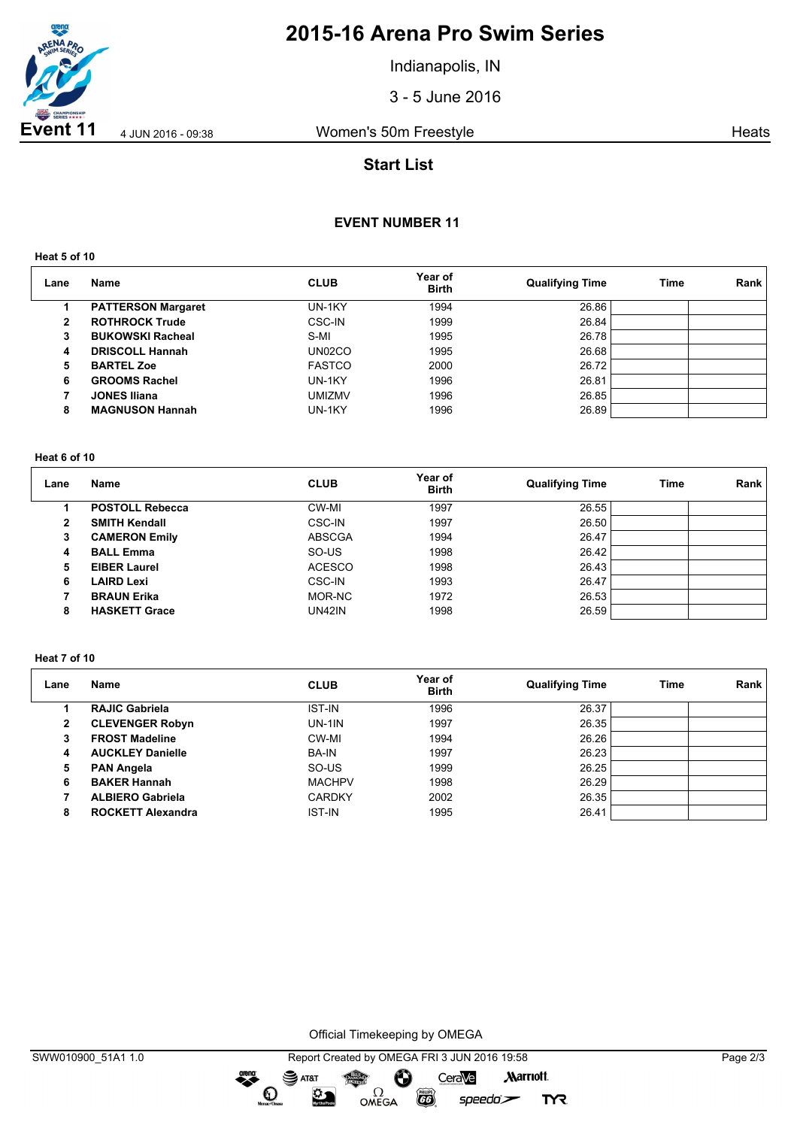

# **2015-16 Arena Pro Swim Series**

Indianapolis, IN

3 - 5 June 2016

**Event 11** 4 JUN 2016 - 09:38 Women's 50m Freestyle **Heats** Heats

# **Start List**

# **EVENT NUMBER 11**

**Heat 5 of 10**

| Lane | <b>Name</b>               | <b>CLUB</b>   | Year of<br><b>Birth</b> | <b>Qualifying Time</b> | <b>Time</b> | Rank |
|------|---------------------------|---------------|-------------------------|------------------------|-------------|------|
|      | <b>PATTERSON Margaret</b> | UN-1KY        | 1994                    | 26.86                  |             |      |
| 2    | <b>ROTHROCK Trude</b>     | <b>CSC-IN</b> | 1999                    | 26.84                  |             |      |
| 3    | <b>BUKOWSKI Racheal</b>   | S-MI          | 1995                    | 26.78                  |             |      |
| 4    | <b>DRISCOLL Hannah</b>    | UN02CO        | 1995                    | 26.68                  |             |      |
| 5    | <b>BARTEL Zoe</b>         | <b>FASTCO</b> | 2000                    | 26.72                  |             |      |
| 6    | <b>GROOMS Rachel</b>      | UN-1KY        | 1996                    | 26.81                  |             |      |
|      | <b>JONES Iliana</b>       | <b>UMIZMV</b> | 1996                    | 26.85                  |             |      |
| 8    | <b>MAGNUSON Hannah</b>    | UN-1KY        | 1996                    | 26.89                  |             |      |

### **Heat 6 of 10**

| Lane | Name                   | <b>CLUB</b>   | Year of<br><b>Birth</b> | <b>Qualifying Time</b> | Time | Rank |
|------|------------------------|---------------|-------------------------|------------------------|------|------|
|      | <b>POSTOLL Rebecca</b> | CW-MI         | 1997                    | 26.55                  |      |      |
| 2    | <b>SMITH Kendall</b>   | <b>CSC-IN</b> | 1997                    | 26.50                  |      |      |
| 3    | <b>CAMERON Emily</b>   | <b>ABSCGA</b> | 1994                    | 26.47                  |      |      |
| 4    | <b>BALL Emma</b>       | SO-US         | 1998                    | 26.42                  |      |      |
| 5    | <b>EIBER Laurel</b>    | <b>ACESCO</b> | 1998                    | 26.43                  |      |      |
| 6    | LAIRD Lexi             | <b>CSC-IN</b> | 1993                    | 26.47                  |      |      |
|      | <b>BRAUN Erika</b>     | MOR-NC        | 1972                    | 26.53                  |      |      |
| 8    | <b>HASKETT Grace</b>   | UN42IN        | 1998                    | 26.59                  |      |      |

### **Heat 7 of 10**

| Lane         | Name                     | <b>CLUB</b>   | Year of<br><b>Birth</b> | <b>Qualifying Time</b> | Time | Rank |
|--------------|--------------------------|---------------|-------------------------|------------------------|------|------|
|              | <b>RAJIC Gabriela</b>    | <b>IST-IN</b> | 1996                    | 26.37                  |      |      |
| $\mathbf{2}$ | <b>CLEVENGER Robyn</b>   | $UN-1IN$      | 1997                    | 26.35                  |      |      |
| 3            | <b>FROST Madeline</b>    | CW-MI         | 1994                    | 26.26                  |      |      |
| 4            | <b>AUCKLEY Danielle</b>  | <b>BA-IN</b>  | 1997                    | 26.23                  |      |      |
| 5            | <b>PAN Angela</b>        | SO-US         | 1999                    | 26.25                  |      |      |
| 6            | <b>BAKER Hannah</b>      | <b>MACHPV</b> | 1998                    | 26.29                  |      |      |
|              | <b>ALBIERO Gabriela</b>  | <b>CARDKY</b> | 2002                    | 26.35                  |      |      |
| 8            | <b>ROCKETT Alexandra</b> | <b>IST-IN</b> | 1995                    | 26.41                  |      |      |

Official Timekeeping by OMEGA

dreng: